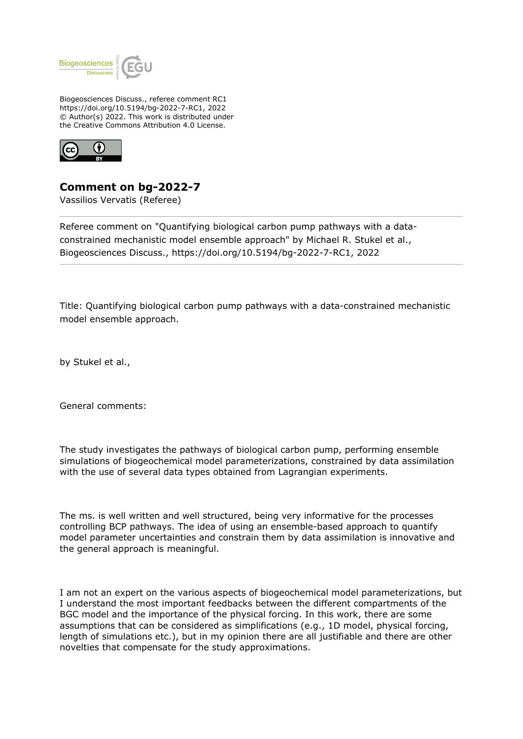

Biogeosciences Discuss., referee comment RC1 https://doi.org/10.5194/bg-2022-7-RC1, 2022 © Author(s) 2022. This work is distributed under the Creative Commons Attribution 4.0 License.



**Comment on bg-2022-7**

Vassilios Vervatis (Referee)

Referee comment on "Quantifying biological carbon pump pathways with a dataconstrained mechanistic model ensemble approach" by Michael R. Stukel et al., Biogeosciences Discuss., https://doi.org/10.5194/bg-2022-7-RC1, 2022

Title: Quantifying biological carbon pump pathways with a data-constrained mechanistic model ensemble approach.

by Stukel et al.,

General comments:

The study investigates the pathways of biological carbon pump, performing ensemble simulations of biogeochemical model parameterizations, constrained by data assimilation with the use of several data types obtained from Lagrangian experiments.

The ms. is well written and well structured, being very informative for the processes controlling BCP pathways. The idea of using an ensemble-based approach to quantify model parameter uncertainties and constrain them by data assimilation is innovative and the general approach is meaningful.

I am not an expert on the various aspects of biogeochemical model parameterizations, but I understand the most important feedbacks between the different compartments of the BGC model and the importance of the physical forcing. In this work, there are some assumptions that can be considered as simplifications (e.g., 1D model, physical forcing, length of simulations etc.), but in my opinion there are all justifiable and there are other novelties that compensate for the study approximations.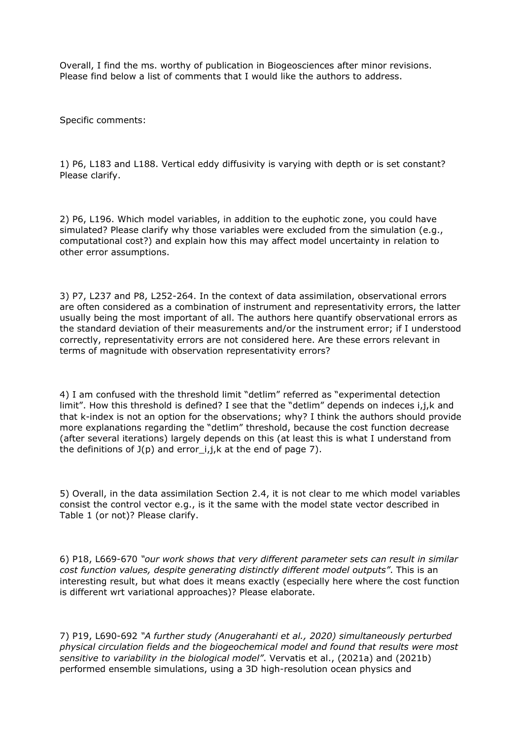Overall, I find the ms. worthy of publication in Biogeosciences after minor revisions. Please find below a list of comments that I would like the authors to address.

Specific comments:

1) P6, L183 and L188. Vertical eddy diffusivity is varying with depth or is set constant? Please clarify.

2) P6, L196. Which model variables, in addition to the euphotic zone, you could have simulated? Please clarify why those variables were excluded from the simulation (e.g., computational cost?) and explain how this may affect model uncertainty in relation to other error assumptions.

3) P7, L237 and P8, L252-264. In the context of data assimilation, observational errors are often considered as a combination of instrument and representativity errors, the latter usually being the most important of all. The authors here quantify observational errors as the standard deviation of their measurements and/or the instrument error; if I understood correctly, representativity errors are not considered here. Are these errors relevant in terms of magnitude with observation representativity errors?

4) I am confused with the threshold limit "detlim" referred as "experimental detection limit". How this threshold is defined? I see that the "detlim" depends on indeces i,j,k and that k-index is not an option for the observations; why? I think the authors should provide more explanations regarding the "detlim" threshold, because the cost function decrease (after several iterations) largely depends on this (at least this is what I understand from the definitions of  $J(p)$  and error i,j,k at the end of page 7).

5) Overall, in the data assimilation Section 2.4, it is not clear to me which model variables consist the control vector e.g., is it the same with the model state vector described in Table 1 (or not)? Please clarify.

6) P18, L669-670 *"our work shows that very different parameter sets can result in similar cost function values, despite generating distinctly different model outputs"*. This is an interesting result, but what does it means exactly (especially here where the cost function is different wrt variational approaches)? Please elaborate.

7) P19, L690-692 *"A further study (Anugerahanti et al., 2020) simultaneously perturbed physical circulation fields and the biogeochemical model and found that results were most sensitive to variability in the biological model"*. Vervatis et al., (2021a) and (2021b) performed ensemble simulations, using a 3D high-resolution ocean physics and